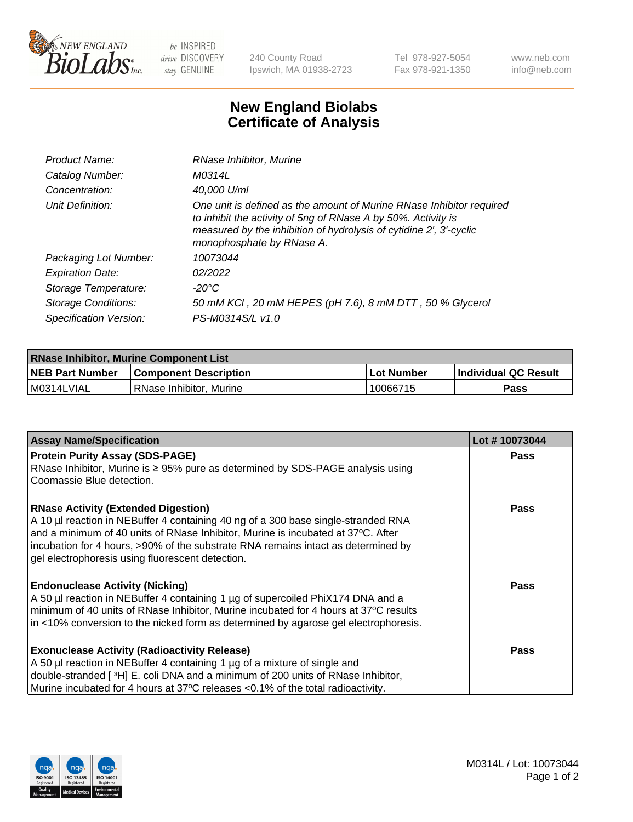

 $be$  INSPIRED drive DISCOVERY stay GENUINE

240 County Road Ipswich, MA 01938-2723 Tel 978-927-5054 Fax 978-921-1350 www.neb.com info@neb.com

## **New England Biolabs Certificate of Analysis**

| Product Name:           | RNase Inhibitor, Murine                                                                                                                                                                                                                  |
|-------------------------|------------------------------------------------------------------------------------------------------------------------------------------------------------------------------------------------------------------------------------------|
| Catalog Number:         | M0314L                                                                                                                                                                                                                                   |
| Concentration:          | 40,000 U/ml                                                                                                                                                                                                                              |
| Unit Definition:        | One unit is defined as the amount of Murine RNase Inhibitor required<br>to inhibit the activity of 5ng of RNase A by 50%. Activity is<br>measured by the inhibition of hydrolysis of cytidine 2', 3'-cyclic<br>monophosphate by RNase A. |
| Packaging Lot Number:   | 10073044                                                                                                                                                                                                                                 |
| <b>Expiration Date:</b> | 02/2022                                                                                                                                                                                                                                  |
| Storage Temperature:    | -20°C                                                                                                                                                                                                                                    |
| Storage Conditions:     | 50 mM KCI, 20 mM HEPES (pH 7.6), 8 mM DTT, 50 % Glycerol                                                                                                                                                                                 |
| Specification Version:  | PS-M0314S/L v1.0                                                                                                                                                                                                                         |

| <b>RNase Inhibitor, Murine Component List</b> |                              |             |                             |  |
|-----------------------------------------------|------------------------------|-------------|-----------------------------|--|
| <b>NEB Part Number</b>                        | <b>Component Description</b> | ⊥Lot Number | <b>Individual QC Result</b> |  |
| M0314LVIAL                                    | l RNase Inhibitor. Murine    | 10066715    | Pass                        |  |

| <b>Assay Name/Specification</b>                                                                                                                                       | Lot #10073044 |
|-----------------------------------------------------------------------------------------------------------------------------------------------------------------------|---------------|
| <b>Protein Purity Assay (SDS-PAGE)</b>                                                                                                                                | <b>Pass</b>   |
| RNase Inhibitor, Murine is ≥ 95% pure as determined by SDS-PAGE analysis using                                                                                        |               |
| Coomassie Blue detection.                                                                                                                                             |               |
| <b>RNase Activity (Extended Digestion)</b>                                                                                                                            | <b>Pass</b>   |
| A 10 µl reaction in NEBuffer 4 containing 40 ng of a 300 base single-stranded RNA<br>and a minimum of 40 units of RNase Inhibitor, Murine is incubated at 37°C. After |               |
| incubation for 4 hours, >90% of the substrate RNA remains intact as determined by                                                                                     |               |
| gel electrophoresis using fluorescent detection.                                                                                                                      |               |
| <b>Endonuclease Activity (Nicking)</b>                                                                                                                                | <b>Pass</b>   |
| A 50 µl reaction in NEBuffer 4 containing 1 µg of supercoiled PhiX174 DNA and a                                                                                       |               |
| minimum of 40 units of RNase Inhibitor, Murine incubated for 4 hours at 37°C results                                                                                  |               |
| in <10% conversion to the nicked form as determined by agarose gel electrophoresis.                                                                                   |               |
| <b>Exonuclease Activity (Radioactivity Release)</b>                                                                                                                   | Pass          |
| A 50 µl reaction in NEBuffer 4 containing 1 µg of a mixture of single and                                                                                             |               |
| double-stranded [3H] E. coli DNA and a minimum of 200 units of RNase Inhibitor,                                                                                       |               |
| Murine incubated for 4 hours at 37°C releases <0.1% of the total radioactivity.                                                                                       |               |